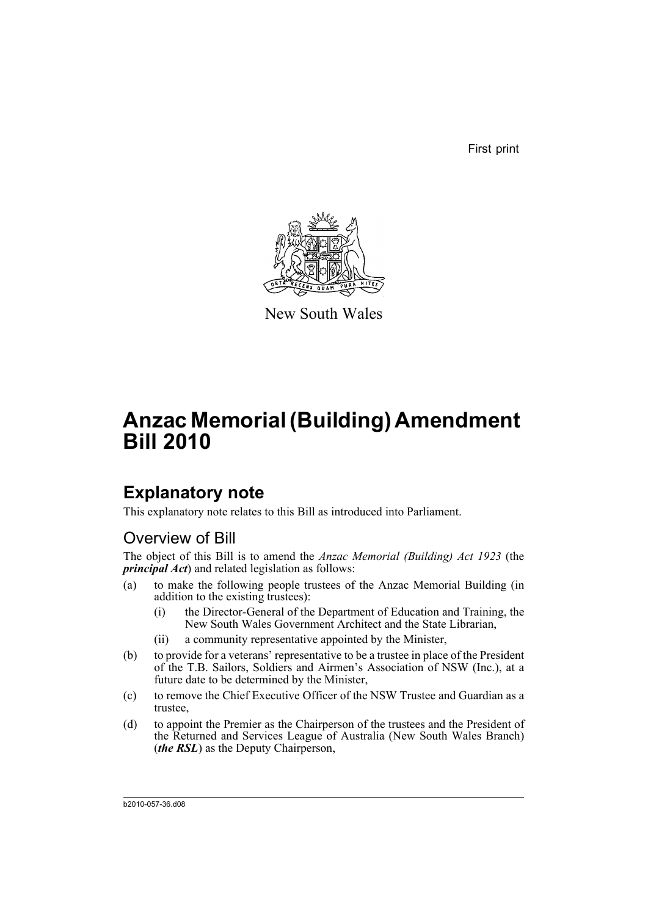First print



New South Wales

# **Anzac Memorial (Building) Amendment Bill 2010**

## **Explanatory note**

This explanatory note relates to this Bill as introduced into Parliament.

## Overview of Bill

The object of this Bill is to amend the *Anzac Memorial (Building) Act 1923* (the *principal Act*) and related legislation as follows:

- (a) to make the following people trustees of the Anzac Memorial Building (in addition to the existing trustees):
	- (i) the Director-General of the Department of Education and Training, the New South Wales Government Architect and the State Librarian,
	- (ii) a community representative appointed by the Minister,
- (b) to provide for a veterans' representative to be a trustee in place of the President of the T.B. Sailors, Soldiers and Airmen's Association of NSW (Inc.), at a future date to be determined by the Minister,
- (c) to remove the Chief Executive Officer of the NSW Trustee and Guardian as a trustee,
- (d) to appoint the Premier as the Chairperson of the trustees and the President of the Returned and Services League of Australia (New South Wales Branch) (*the RSL*) as the Deputy Chairperson,

b2010-057-36.d08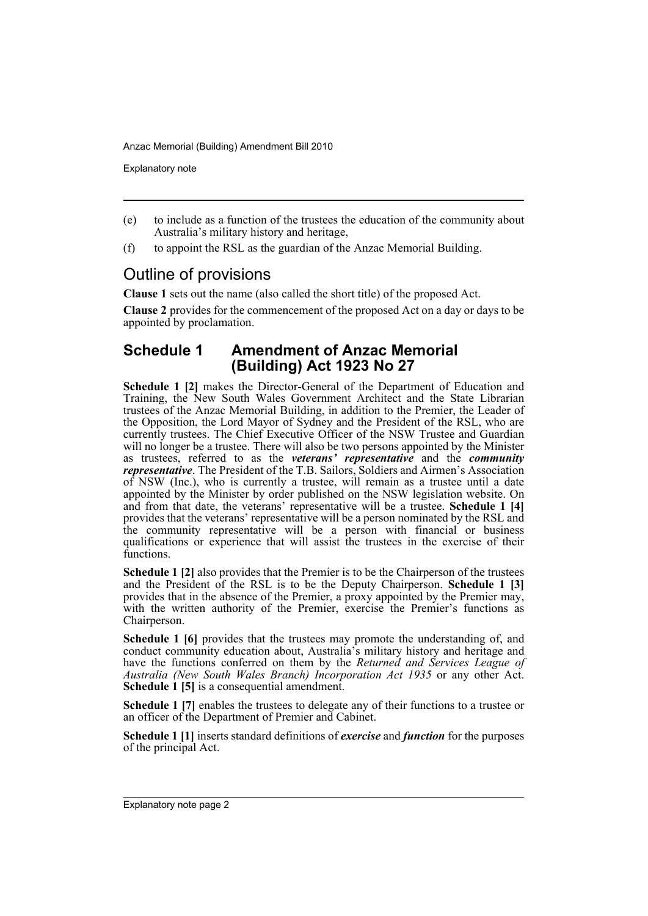Explanatory note

- (e) to include as a function of the trustees the education of the community about Australia's military history and heritage,
- (f) to appoint the RSL as the guardian of the Anzac Memorial Building.

## Outline of provisions

**Clause 1** sets out the name (also called the short title) of the proposed Act.

**Clause 2** provides for the commencement of the proposed Act on a day or days to be appointed by proclamation.

### **Schedule 1 Amendment of Anzac Memorial (Building) Act 1923 No 27**

**Schedule 1 [2]** makes the Director-General of the Department of Education and Training, the New South Wales Government Architect and the State Librarian trustees of the Anzac Memorial Building, in addition to the Premier, the Leader of the Opposition, the Lord Mayor of Sydney and the President of the RSL, who are currently trustees. The Chief Executive Officer of the NSW Trustee and Guardian will no longer be a trustee. There will also be two persons appointed by the Minister as trustees, referred to as the *veterans' representative* and the *community representative*. The President of the T.B. Sailors, Soldiers and Airmen's Association of NSW (Inc.), who is currently a trustee, will remain as a trustee until a date appointed by the Minister by order published on the NSW legislation website. On and from that date, the veterans' representative will be a trustee. **Schedule 1 [4]** provides that the veterans' representative will be a person nominated by the RSL and the community representative will be a person with financial or business qualifications or experience that will assist the trustees in the exercise of their functions.

**Schedule 1 [2]** also provides that the Premier is to be the Chairperson of the trustees and the President of the RSL is to be the Deputy Chairperson. **Schedule 1 [3]** provides that in the absence of the Premier, a proxy appointed by the Premier may, with the written authority of the Premier, exercise the Premier's functions as Chairperson.

**Schedule 1 [6]** provides that the trustees may promote the understanding of, and conduct community education about, Australia's military history and heritage and have the functions conferred on them by the *Returned and Services League of Australia (New South Wales Branch) Incorporation Act 1935* or any other Act. **Schedule 1 [5]** is a consequential amendment.

**Schedule 1 [7]** enables the trustees to delegate any of their functions to a trustee or an officer of the Department of Premier and Cabinet.

**Schedule 1 [1]** inserts standard definitions of *exercise* and *function* for the purposes of the principal Act.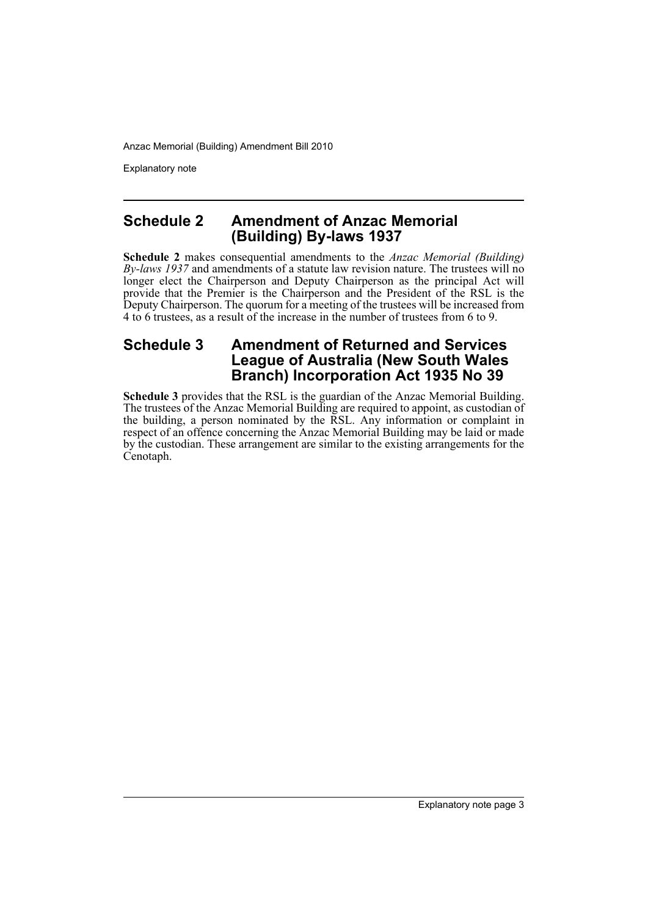Explanatory note

#### **Schedule 2 Amendment of Anzac Memorial (Building) By-laws 1937**

**Schedule 2** makes consequential amendments to the *Anzac Memorial (Building) By-laws 1937* and amendments of a statute law revision nature. The trustees will no longer elect the Chairperson and Deputy Chairperson as the principal Act will provide that the Premier is the Chairperson and the President of the RSL is the Deputy Chairperson. The quorum for a meeting of the trustees will be increased from 4 to 6 trustees, as a result of the increase in the number of trustees from 6 to 9.

## **Schedule 3 Amendment of Returned and Services League of Australia (New South Wales Branch) Incorporation Act 1935 No 39**

**Schedule 3** provides that the RSL is the guardian of the Anzac Memorial Building. The trustees of the Anzac Memorial Building are required to appoint, as custodian of the building, a person nominated by the RSL. Any information or complaint in respect of an offence concerning the Anzac Memorial Building may be laid or made by the custodian. These arrangement are similar to the existing arrangements for the Cenotaph.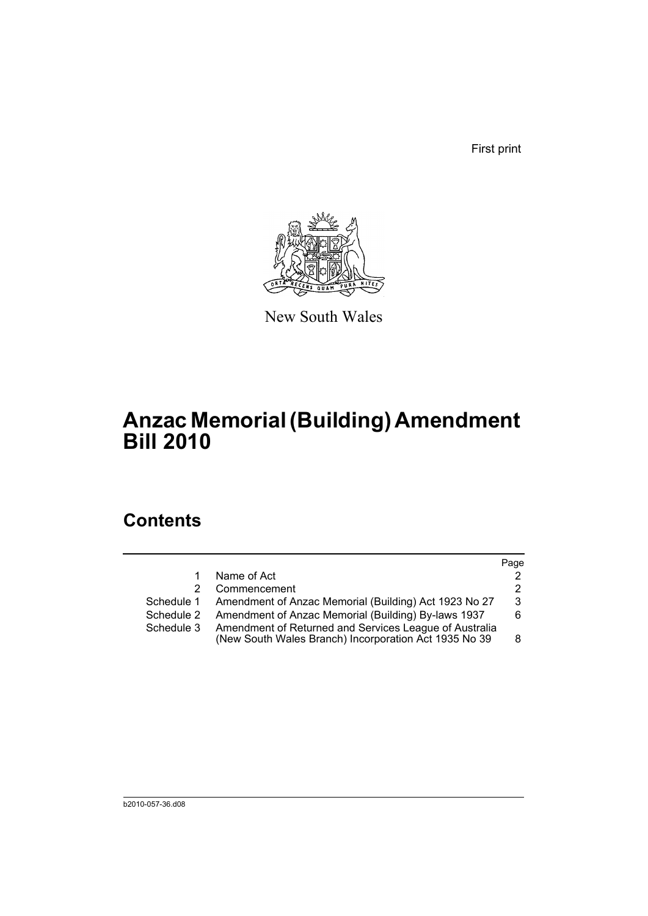First print



New South Wales

# **Anzac Memorial (Building) Amendment Bill 2010**

## **Contents**

|            |                                                                                                                 | Page |
|------------|-----------------------------------------------------------------------------------------------------------------|------|
| 1          | Name of Act                                                                                                     | 2    |
| 2          | Commencement                                                                                                    | 2    |
| Schedule 1 | Amendment of Anzac Memorial (Building) Act 1923 No 27                                                           | 3    |
| Schedule 2 | Amendment of Anzac Memorial (Building) By-laws 1937                                                             | 6.   |
| Schedule 3 | Amendment of Returned and Services League of Australia<br>(New South Wales Branch) Incorporation Act 1935 No 39 | 8    |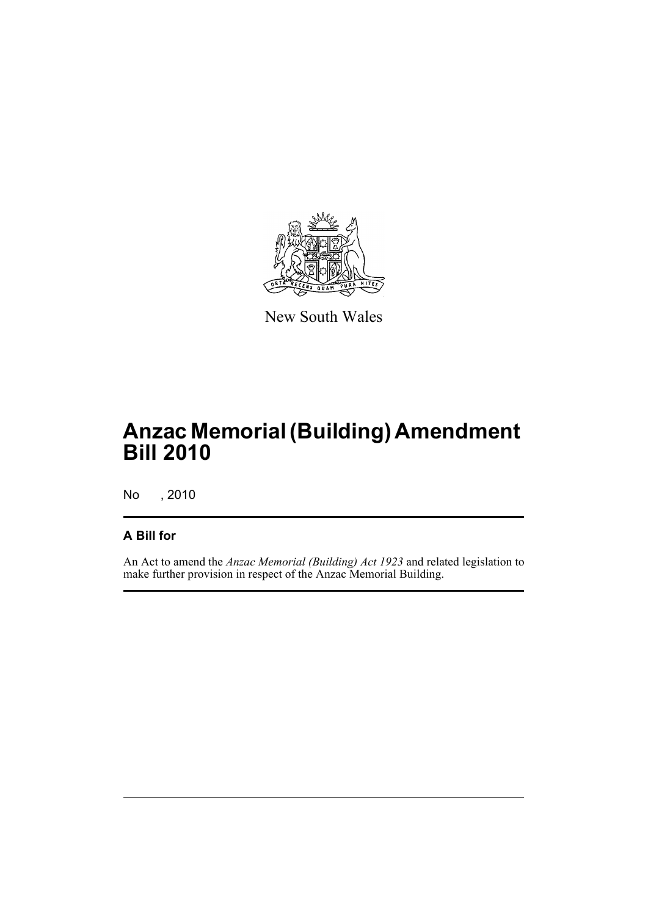

New South Wales

# **Anzac Memorial (Building) Amendment Bill 2010**

No , 2010

### **A Bill for**

An Act to amend the *Anzac Memorial (Building) Act 1923* and related legislation to make further provision in respect of the Anzac Memorial Building.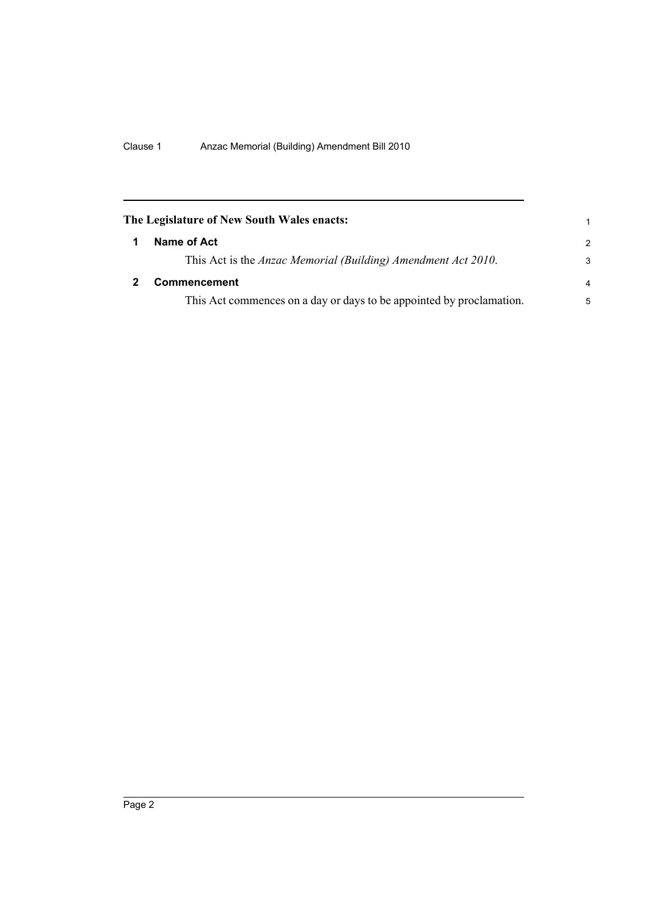<span id="page-7-1"></span><span id="page-7-0"></span>

| The Legislature of New South Wales enacts:                            | 1              |
|-----------------------------------------------------------------------|----------------|
| Name of Act                                                           | $\mathcal{P}$  |
| This Act is the <i>Anzac Memorial (Building) Amendment Act 2010</i> . | 3              |
| <b>Commencement</b>                                                   | $\overline{a}$ |
| This Act commences on a day or days to be appointed by proclamation.  | 5              |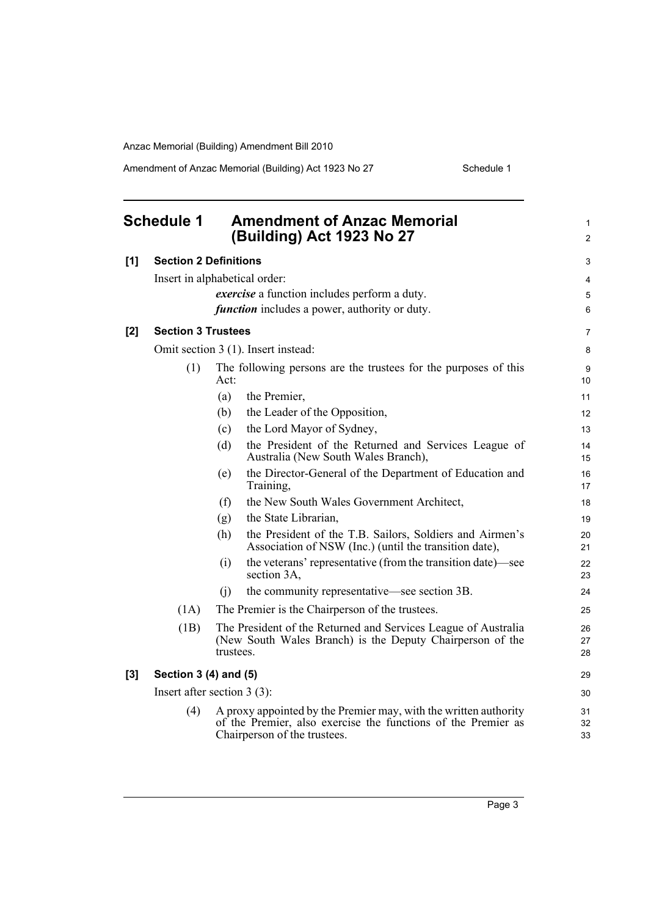Amendment of Anzac Memorial (Building) Act 1923 No 27 Schedule 1

<span id="page-8-0"></span>

|     | <b>Schedule 1</b>            | <b>Amendment of Anzac Memorial</b><br>(Building) Act 1923 No 27                                                                                                   | 1<br>$\overline{2}$ |
|-----|------------------------------|-------------------------------------------------------------------------------------------------------------------------------------------------------------------|---------------------|
| [1] | <b>Section 2 Definitions</b> |                                                                                                                                                                   | 3                   |
|     |                              | Insert in alphabetical order:                                                                                                                                     | 4                   |
|     |                              | <i>exercise</i> a function includes perform a duty.                                                                                                               | 5                   |
|     |                              | <i>function</i> includes a power, authority or duty.                                                                                                              | 6                   |
| [2] | <b>Section 3 Trustees</b>    |                                                                                                                                                                   | 7                   |
|     |                              | Omit section 3 (1). Insert instead:                                                                                                                               | 8                   |
|     | (1)                          | The following persons are the trustees for the purposes of this<br>Act:                                                                                           | 9<br>10             |
|     |                              | (a)<br>the Premier,                                                                                                                                               | 11                  |
|     |                              | (b)<br>the Leader of the Opposition,                                                                                                                              | 12                  |
|     |                              | the Lord Mayor of Sydney,<br>(c)                                                                                                                                  | 13                  |
|     |                              | (d)<br>the President of the Returned and Services League of<br>Australia (New South Wales Branch),                                                                | 14<br>15            |
|     |                              | the Director-General of the Department of Education and<br>(e)<br>Training,                                                                                       | 16<br>17            |
|     |                              | the New South Wales Government Architect,<br>(f)                                                                                                                  | 18                  |
|     |                              | the State Librarian,<br>(g)                                                                                                                                       | 19                  |
|     |                              | the President of the T.B. Sailors, Soldiers and Airmen's<br>(h)<br>Association of NSW (Inc.) (until the transition date),                                         | 20<br>21            |
|     |                              | the veterans' representative (from the transition date)—see<br>(i)<br>section 3A,                                                                                 | 22<br>23            |
|     |                              | the community representative—see section 3B.<br>(i)                                                                                                               | 24                  |
|     | (1A)                         | The Premier is the Chairperson of the trustees.                                                                                                                   | 25                  |
|     | (1B)                         | The President of the Returned and Services League of Australia<br>(New South Wales Branch) is the Deputy Chairperson of the<br>trustees.                          | 26<br>27<br>28      |
| [3] | Section 3 (4) and (5)        |                                                                                                                                                                   | 29                  |
|     |                              | Insert after section $3(3)$ :                                                                                                                                     | 30                  |
|     | (4)                          | A proxy appointed by the Premier may, with the written authority<br>of the Premier, also exercise the functions of the Premier as<br>Chairperson of the trustees. | 31<br>32<br>33      |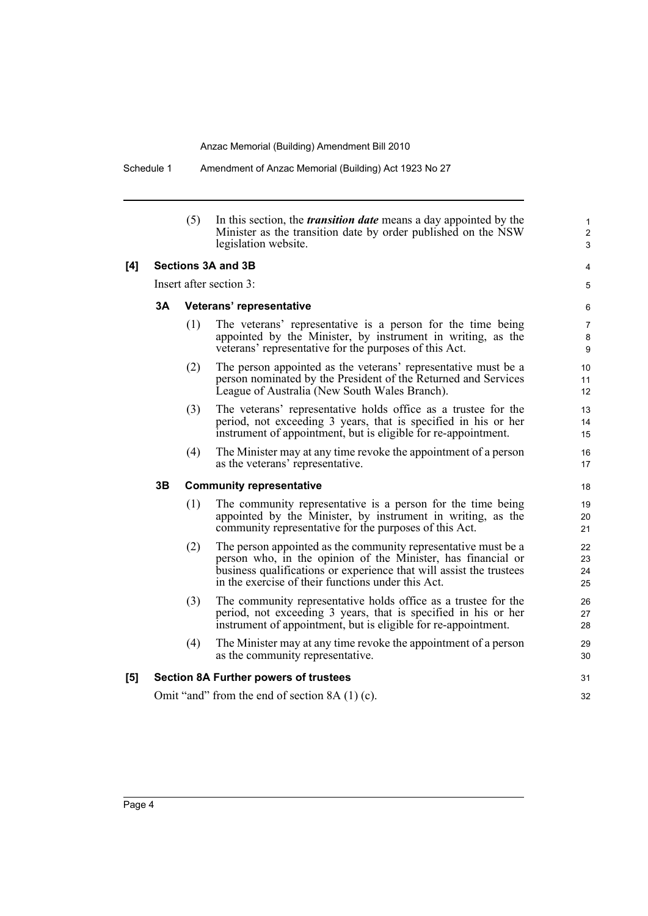Schedule 1 Amendment of Anzac Memorial (Building) Act 1923 No 27

|                                       |                         | (5) | In this section, the <i>transition date</i> means a day appointed by the<br>Minister as the transition date by order published on the NSW<br>legislation website.                                                                                           | 1<br>$\overline{c}$<br>3 |
|---------------------------------------|-------------------------|-----|-------------------------------------------------------------------------------------------------------------------------------------------------------------------------------------------------------------------------------------------------------------|--------------------------|
| [4]                                   |                         |     | Sections 3A and 3B                                                                                                                                                                                                                                          | 4                        |
|                                       | Insert after section 3: |     |                                                                                                                                                                                                                                                             | 5                        |
|                                       | 3A                      |     | Veterans' representative                                                                                                                                                                                                                                    | 6                        |
|                                       |                         | (1) | The veterans' representative is a person for the time being<br>appointed by the Minister, by instrument in writing, as the<br>veterans' representative for the purposes of this Act.                                                                        | 7<br>8<br>9              |
|                                       |                         | (2) | The person appointed as the veterans' representative must be a<br>person nominated by the President of the Returned and Services<br>League of Australia (New South Wales Branch).                                                                           | 10<br>11<br>12           |
|                                       |                         | (3) | The veterans' representative holds office as a trustee for the<br>period, not exceeding 3 years, that is specified in his or her<br>instrument of appointment, but is eligible for re-appointment.                                                          | 13<br>14<br>15           |
|                                       |                         | (4) | The Minister may at any time revoke the appointment of a person<br>as the veterans' representative.                                                                                                                                                         | 16<br>17                 |
| 3B<br><b>Community representative</b> |                         |     | 18                                                                                                                                                                                                                                                          |                          |
|                                       |                         | (1) | The community representative is a person for the time being<br>appointed by the Minister, by instrument in writing, as the<br>community representative for the purposes of this Act.                                                                        | 19<br>20<br>21           |
|                                       |                         | (2) | The person appointed as the community representative must be a<br>person who, in the opinion of the Minister, has financial or<br>business qualifications or experience that will assist the trustees<br>in the exercise of their functions under this Act. | 22<br>23<br>24<br>25     |
|                                       |                         | (3) | The community representative holds office as a trustee for the<br>period, not exceeding 3 years, that is specified in his or her<br>instrument of appointment, but is eligible for re-appointment.                                                          | 26<br>27<br>28           |
|                                       |                         | (4) | The Minister may at any time revoke the appointment of a person<br>as the community representative.                                                                                                                                                         | 29<br>30                 |
| [5]                                   |                         |     | <b>Section 8A Further powers of trustees</b>                                                                                                                                                                                                                | 31                       |
|                                       |                         |     | Omit "and" from the end of section $8A(1)(c)$ .                                                                                                                                                                                                             | 32                       |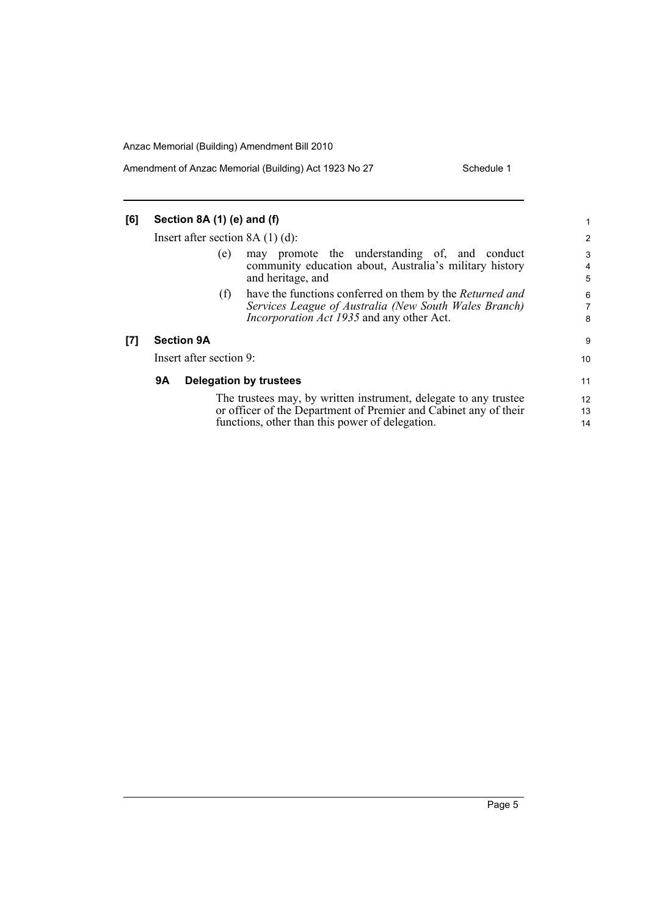Amendment of Anzac Memorial (Building) Act 1923 No 27 Schedule 1

| [6] | Section 8A (1) (e) and (f)          |                                                                                                                                                                                         |                                    |
|-----|-------------------------------------|-----------------------------------------------------------------------------------------------------------------------------------------------------------------------------------------|------------------------------------|
|     | Insert after section $8A(1)(d)$ :   |                                                                                                                                                                                         |                                    |
|     | (e)                                 | may promote the understanding of, and conduct<br>community education about, Australia's military history<br>and heritage, and                                                           | 3<br>$\overline{\mathcal{L}}$<br>5 |
|     | (f)                                 | have the functions conferred on them by the <i>Returned and</i><br>Services League of Australia (New South Wales Branch)<br><i>Incorporation Act 1935</i> and any other Act.            | 6<br>7<br>8                        |
| [7] | <b>Section 9A</b>                   |                                                                                                                                                                                         | 9                                  |
|     | Insert after section 9:             |                                                                                                                                                                                         | 10                                 |
|     | 9Α<br><b>Delegation by trustees</b> |                                                                                                                                                                                         | 11                                 |
|     |                                     | The trustees may, by written instrument, delegate to any trustee<br>or officer of the Department of Premier and Cabinet any of their<br>functions, other than this power of delegation. | 12<br>13<br>14                     |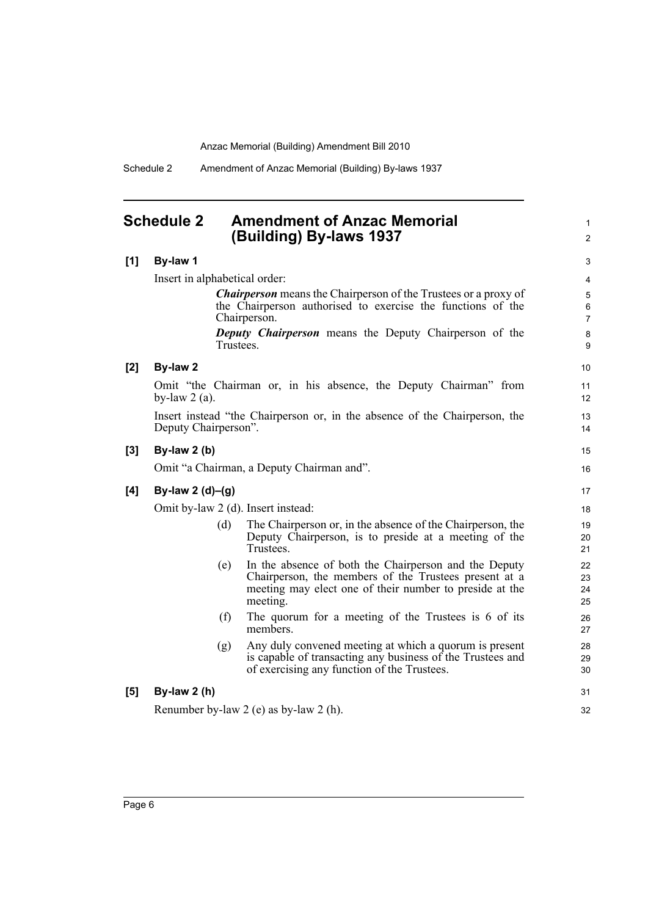Schedule 2 Amendment of Anzac Memorial (Building) By-laws 1937

### <span id="page-11-0"></span>**Schedule 2 Amendment of Anzac Memorial (Building) By-laws 1937**

#### **[1] By-law 1**

Insert in alphabetical order: *Chairperson* means the Chairperson of the Trustees or a proxy of the Chairperson authorised to exercise the functions of the Chairperson.

*Deputy Chairperson* means the Deputy Chairperson of the Trustees.

1  $\mathfrak{p}$ 

15 16

31 32

#### **[2] By-law 2**

Omit "the Chairman or, in his absence, the Deputy Chairman" from by-law  $2$  (a).

Insert instead "the Chairperson or, in the absence of the Chairperson, the Deputy Chairperson".

#### **[3] By-law 2 (b)**

Omit "a Chairman, a Deputy Chairman and".

#### **[4] By-law 2 (d)–(g)**

Omit by-law 2 (d). Insert instead:

- (d) The Chairperson or, in the absence of the Chairperson, the Deputy Chairperson, is to preside at a meeting of the Trustees.
- (e) In the absence of both the Chairperson and the Deputy Chairperson, the members of the Trustees present at a meeting may elect one of their number to preside at the meeting.
- (f) The quorum for a meeting of the Trustees is 6 of its members.
- (g) Any duly convened meeting at which a quorum is present is capable of transacting any business of the Trustees and of exercising any function of the Trustees.

#### **[5] By-law 2 (h)**

Renumber by-law 2 (e) as by-law 2 (h).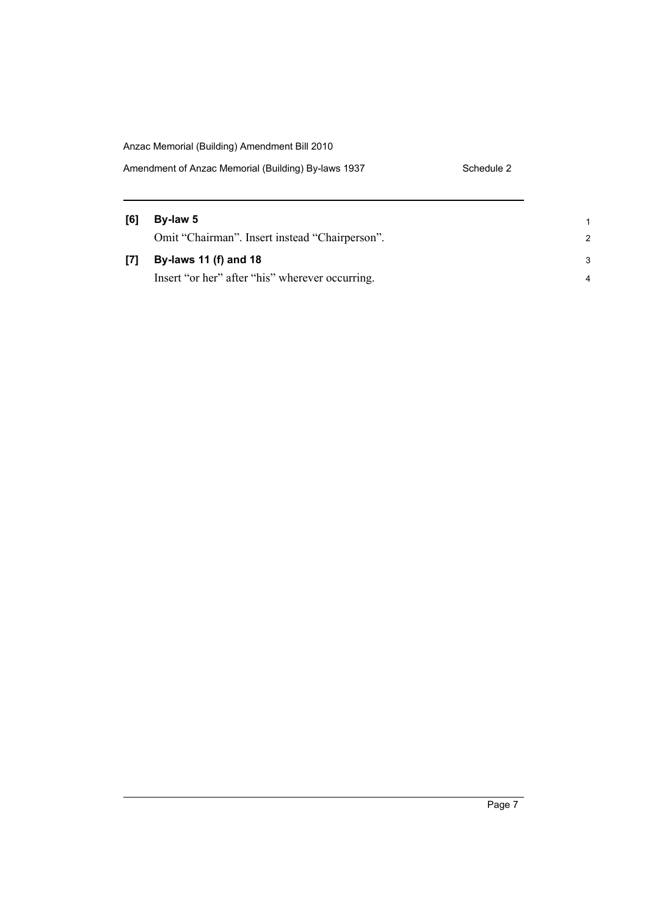| Amendment of Anzac Memorial (Building) By-laws 1937 | Schedule 2 |
|-----------------------------------------------------|------------|
|-----------------------------------------------------|------------|

| [6] | By-law 5                                        |               |
|-----|-------------------------------------------------|---------------|
|     | Omit "Chairman". Insert instead "Chairperson".  | $\mathcal{P}$ |
| [7] | By-laws 11 (f) and 18                           | 3             |
|     | Insert "or her" after "his" wherever occurring. |               |